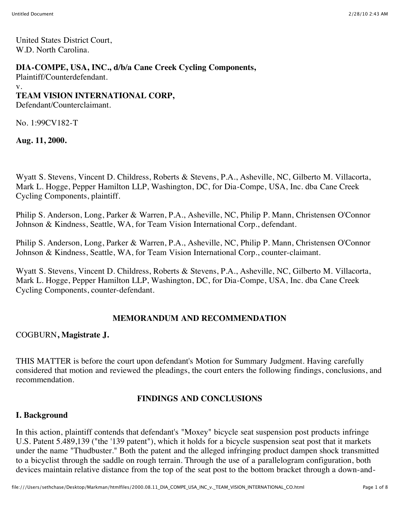United States District Court, W.D. North Carolina.

### **DIA-COMPE, USA, INC., d/b/a Cane Creek Cycling Components,**

Plaintiff/Counterdefendant.

v.

#### **TEAM VISION INTERNATIONAL CORP,**

Defendant/Counterclaimant.

No. 1:99CV182-T

**Aug. 11, 2000.**

Wyatt S. Stevens, Vincent D. Childress, Roberts & Stevens, P.A., Asheville, NC, Gilberto M. Villacorta, Mark L. Hogge, Pepper Hamilton LLP, Washington, DC, for Dia-Compe, USA, Inc. dba Cane Creek Cycling Components, plaintiff.

Philip S. Anderson, Long, Parker & Warren, P.A., Asheville, NC, Philip P. Mann, Christensen O'Connor Johnson & Kindness, Seattle, WA, for Team Vision International Corp., defendant.

Philip S. Anderson, Long, Parker & Warren, P.A., Asheville, NC, Philip P. Mann, Christensen O'Connor Johnson & Kindness, Seattle, WA, for Team Vision International Corp., counter-claimant.

Wyatt S. Stevens, Vincent D. Childress, Roberts & Stevens, P.A., Asheville, NC, Gilberto M. Villacorta, Mark L. Hogge, Pepper Hamilton LLP, Washington, DC, for Dia-Compe, USA, Inc. dba Cane Creek Cycling Components, counter-defendant.

#### **MEMORANDUM AND RECOMMENDATION**

#### COGBURN**, Magistrate J.**

THIS MATTER is before the court upon defendant's Motion for Summary Judgment. Having carefully considered that motion and reviewed the pleadings, the court enters the following findings, conclusions, and recommendation.

#### **FINDINGS AND CONCLUSIONS**

## **I. Background**

In this action, plaintiff contends that defendant's "Moxey" bicycle seat suspension post products infringe U.S. Patent 5.489,139 ("the '139 patent"), which it holds for a bicycle suspension seat post that it markets under the name "Thudbuster." Both the patent and the alleged infringing product dampen shock transmitted to a bicyclist through the saddle on rough terrain. Through the use of a parallelogram configuration, both devices maintain relative distance from the top of the seat post to the bottom bracket through a down-and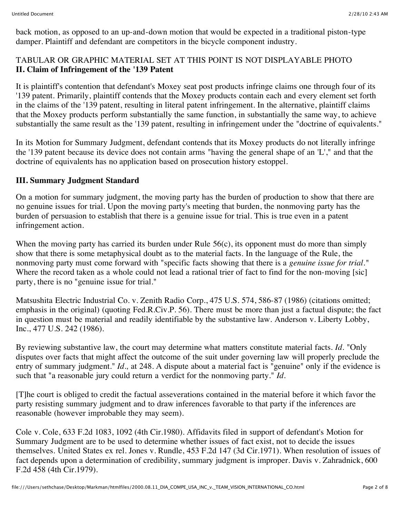back motion, as opposed to an up-and-down motion that would be expected in a traditional piston-type damper. Plaintiff and defendant are competitors in the bicycle component industry.

### TABULAR OR GRAPHIC MATERIAL SET AT THIS POINT IS NOT DISPLAYABLE PHOTO **II. Claim of Infringement of the '139 Patent**

It is plaintiff's contention that defendant's Moxey seat post products infringe claims one through four of its '139 patent. Primarily, plaintiff contends that the Moxey products contain each and every element set forth in the claims of the '139 patent, resulting in literal patent infringement. In the alternative, plaintiff claims that the Moxey products perform substantially the same function, in substantially the same way, to achieve substantially the same result as the '139 patent, resulting in infringement under the "doctrine of equivalents."

In its Motion for Summary Judgment, defendant contends that its Moxey products do not literally infringe the '139 patent because its device does not contain arms "having the general shape of an 'L'," and that the doctrine of equivalents has no application based on prosecution history estoppel.

### **III. Summary Judgment Standard**

On a motion for summary judgment, the moving party has the burden of production to show that there are no genuine issues for trial. Upon the moving party's meeting that burden, the nonmoving party has the burden of persuasion to establish that there is a genuine issue for trial. This is true even in a patent infringement action.

When the moving party has carried its burden under Rule 56(c), its opponent must do more than simply show that there is some metaphysical doubt as to the material facts. In the language of the Rule, the nonmoving party must come forward with "specific facts showing that there is a *genuine issue for trial."* Where the record taken as a whole could not lead a rational trier of fact to find for the non-moving [sic] party, there is no "genuine issue for trial."

Matsushita Electric Industrial Co. v. Zenith Radio Corp., 475 U.S. 574, 586-87 (1986) (citations omitted; emphasis in the original) (quoting Fed.R.Civ.P. 56). There must be more than just a factual dispute; the fact in question must be material and readily identifiable by the substantive law. Anderson v. Liberty Lobby, Inc., 477 U.S. 242 (1986).

By reviewing substantive law, the court may determine what matters constitute material facts. *Id.* "Only disputes over facts that might affect the outcome of the suit under governing law will properly preclude the entry of summary judgment." *Id.*, at 248. A dispute about a material fact is "genuine" only if the evidence is such that "a reasonable jury could return a verdict for the nonmoving party." *Id.*

[T]he court is obliged to credit the factual asseverations contained in the material before it which favor the party resisting summary judgment and to draw inferences favorable to that party if the inferences are reasonable (however improbable they may seem).

Cole v. Cole, 633 F.2d 1083, 1092 (4th Cir.1980). Affidavits filed in support of defendant's Motion for Summary Judgment are to be used to determine whether issues of fact exist, not to decide the issues themselves. United States ex rel. Jones v. Rundle, 453 F.2d 147 (3d Cir.1971). When resolution of issues of fact depends upon a determination of credibility, summary judgment is improper. Davis v. Zahradnick, 600 F.2d 458 (4th Cir.1979).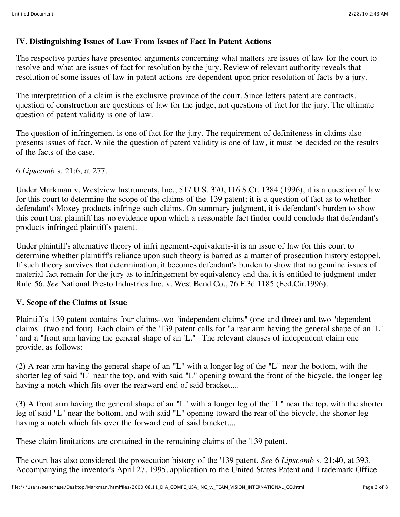## **IV. Distinguishing Issues of Law From Issues of Fact In Patent Actions**

The respective parties have presented arguments concerning what matters are issues of law for the court to resolve and what are issues of fact for resolution by the jury. Review of relevant authority reveals that resolution of some issues of law in patent actions are dependent upon prior resolution of facts by a jury.

The interpretation of a claim is the exclusive province of the court. Since letters patent are contracts, question of construction are questions of law for the judge, not questions of fact for the jury. The ultimate question of patent validity is one of law.

The question of infringement is one of fact for the jury. The requirement of definiteness in claims also presents issues of fact. While the question of patent validity is one of law, it must be decided on the results of the facts of the case.

6 *Lipscomb* s. 21:6, at 277.

Under Markman v. Westview Instruments, Inc., 517 U.S. 370, 116 S.Ct. 1384 (1996), it is a question of law for this court to determine the scope of the claims of the '139 patent; it is a question of fact as to whether defendant's Moxey products infringe such claims. On summary judgment, it is defendant's burden to show this court that plaintiff has no evidence upon which a reasonable fact finder could conclude that defendant's products infringed plaintiff's patent.

Under plaintiff's alternative theory of infri ngement-equivalents-it is an issue of law for this court to determine whether plaintiff's reliance upon such theory is barred as a matter of prosecution history estoppel. If such theory survives that determination, it becomes defendant's burden to show that no genuine issues of material fact remain for the jury as to infringement by equivalency and that it is entitled to judgment under Rule 56. *See* National Presto Industries Inc. v. West Bend Co., 76 F.3d 1185 (Fed.Cir.1996).

#### **V. Scope of the Claims at Issue**

Plaintiff's '139 patent contains four claims-two "independent claims" (one and three) and two "dependent claims" (two and four). Each claim of the '139 patent calls for "a rear arm having the general shape of an 'L" ' and a "front arm having the general shape of an 'L." ' The relevant clauses of independent claim one provide, as follows:

(2) A rear arm having the general shape of an "L" with a longer leg of the "L" near the bottom, with the shorter leg of said "L" near the top, and with said "L" opening toward the front of the bicycle, the longer leg having a notch which fits over the rearward end of said bracket....

(3) A front arm having the general shape of an "L" with a longer leg of the "L" near the top, with the shorter leg of said "L" near the bottom, and with said "L" opening toward the rear of the bicycle, the shorter leg having a notch which fits over the forward end of said bracket....

These claim limitations are contained in the remaining claims of the '139 patent.

The court has also considered the prosecution history of the '139 patent. *See* 6 *Lipscomb* s. 21:40, at 393. Accompanying the inventor's April 27, 1995, application to the United States Patent and Trademark Office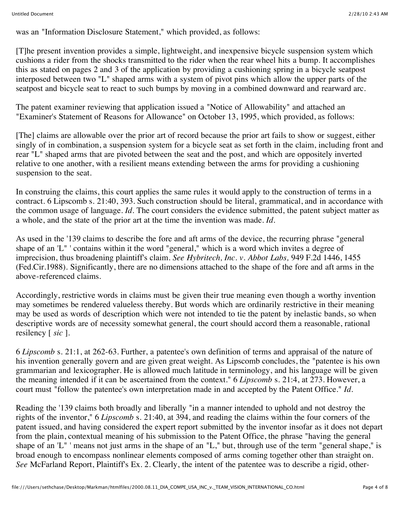was an "Information Disclosure Statement," which provided, as follows:

[T]he present invention provides a simple, lightweight, and inexpensive bicycle suspension system which cushions a rider from the shocks transmitted to the rider when the rear wheel hits a bump. It accomplishes this as stated on pages 2 and 3 of the application by providing a cushioning spring in a bicycle seatpost interposed between two "L" shaped arms with a system of pivot pins which allow the upper parts of the seatpost and bicycle seat to react to such bumps by moving in a combined downward and rearward arc.

The patent examiner reviewing that application issued a "Notice of Allowability" and attached an "Examiner's Statement of Reasons for Allowance" on October 13, 1995, which provided, as follows:

[The] claims are allowable over the prior art of record because the prior art fails to show or suggest, either singly of in combination, a suspension system for a bicycle seat as set forth in the claim, including front and rear "L" shaped arms that are pivoted between the seat and the post, and which are oppositely inverted relative to one another, with a resilient means extending between the arms for providing a cushioning suspension to the seat.

In construing the claims, this court applies the same rules it would apply to the construction of terms in a contract. 6 Lipscomb s. 21:40, 393. Such construction should be literal, grammatical, and in accordance with the common usage of language. *Id.* The court considers the evidence submitted, the patent subject matter as a whole, and the state of the prior art at the time the invention was made. *Id.*

As used in the '139 claims to describe the fore and aft arms of the device, the recurring phrase "general shape of an 'L" ' contains within it the word "general," which is a word which invites a degree of imprecision, thus broadening plaintiff's claim. *See Hybritech, Inc. v. Abbot Labs,* 949 F.2d 1446, 1455 (Fed.Cir.1988). Significantly, there are no dimensions attached to the shape of the fore and aft arms in the above-referenced claims.

Accordingly, restrictive words in claims must be given their true meaning even though a worthy invention may sometimes be rendered valueless thereby. But words which are ordinarily restrictive in their meaning may be used as words of description which were not intended to tie the patent by inelastic bands, so when descriptive words are of necessity somewhat general, the court should accord them a reasonable, rational resilency [ *sic* ].

6 *Lipscomb* s. 21:1, at 262-63. Further, a patentee's own definition of terms and appraisal of the nature of his invention generally govern and are given great weight. As Lipscomb concludes, the "patentee is his own grammarian and lexicographer. He is allowed much latitude in terminology, and his language will be given the meaning intended if it can be ascertained from the context." 6 *Lipscomb* s. 21:4, at 273. However, a court must "follow the patentee's own interpretation made in and accepted by the Patent Office." *Id.*

Reading the '139 claims both broadly and liberally "in a manner intended to uphold and not destroy the rights of the inventor," 6 *Lipscomb* s. 21:40, at 394, and reading the claims within the four corners of the patent issued, and having considered the expert report submitted by the inventor insofar as it does not depart from the plain, contextual meaning of his submission to the Patent Office, the phrase "having the general shape of an 'L" ' means not just arms in the shape of an "L," but, through use of the term "general shape," is broad enough to encompass nonlinear elements composed of arms coming together other than straight on. *See* McFarland Report, Plaintiff's Ex. 2. Clearly, the intent of the patentee was to describe a rigid, other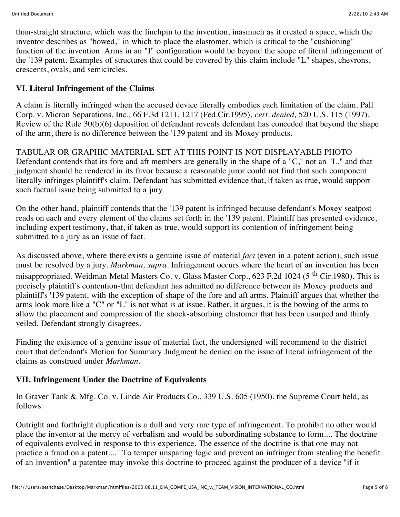than-straight structure, which was the linchpin to the invention, inasmuch as it created a space, which the inventor describes as "bowed," in which to place the elastomer, which is critical to the "cushioning" function of the invention. Arms in an "I" configuration would be beyond the scope of literal infringement of the '139 patent. Examples of structures that could be covered by this claim include "L" shapes, chevrons, crescents, ovals, and semicircles.

# **VI. Literal Infringement of the Claims**

A claim is literally infringed when the accused device literally embodies each limitation of the claim. Pall Corp. v. Micron Separations, Inc., 66 F.3d 1211, 1217 (Fed.Cir.1995), *cert. denied,* 520 U.S. 115 (1997). Review of the Rule 30(b)(6) deposition of defendant reveals defendant has conceded that beyond the shape of the arm, there is no difference between the '139 patent and its Moxey products.

TABULAR OR GRAPHIC MATERIAL SET AT THIS POINT IS NOT DISPLAYABLE PHOTO Defendant contends that its fore and aft members are generally in the shape of a "C," not an "L," and that judgment should be rendered in its favor because a reasonable juror could not find that such component literally infringes plaintiff's claim. Defendant has submitted evidence that, if taken as true, would support such factual issue being submitted to a jury.

On the other hand, plaintiff contends that the '139 patent is infringed because defendant's Moxey seatpost reads on each and every element of the claims set forth in the '139 patent. Plaintiff has presented evidence, including expert testimony, that, if taken as true, would support its contention of infringement being submitted to a jury as an issue of fact.

As discussed above, where there exists a genuine issue of material *fact* (even in a patent action), such issue must be resolved by a jury. *Markman, supra.* Infringement occurs where the heart of an invention has been misappropriated. Weidman Metal Masters Co. v. Glass Master Corp., 623 F.2d 1024 (5<sup>th</sup> Cir.1980). This is precisely plaintiff's contention-that defendant has admitted no difference between its Moxey products and plaintiff's '139 patent, with the exception of shape of the fore and aft arms. Plaintiff argues that whether the arms look more like a "C" or "L" is not what is at issue. Rather, it argues, it is the bowing of the arms to allow the placement and compression of the shock-absorbing elastomer that has been usurped and thinly veiled. Defendant strongly disagrees.

Finding the existence of a genuine issue of material fact, the undersigned will recommend to the district court that defendant's Motion for Summary Judgment be denied on the issue of literal infringement of the claims as construed under *Markman.*

# **VII. Infringement Under the Doctrine of Equivalents**

In Graver Tank & Mfg. Co. v. Linde Air Products Co., 339 U.S. 605 (1950), the Supreme Court held, as follows:

Outright and forthright duplication is a dull and very rare type of infringement. To prohibit no other would place the inventor at the mercy of verbalism and would be subordinating substance to form.... The doctrine of equivalents evolved in response to this experience. The essence of the doctrine is that one may not practice a fraud on a patent.... "To temper unsparing logic and prevent an infringer from stealing the benefit of an invention" a patentee may invoke this doctrine to proceed against the producer of a device "if it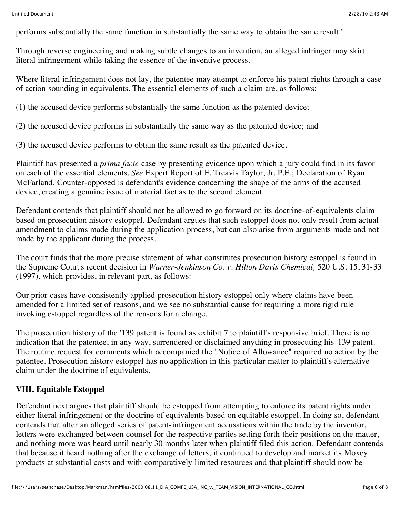performs substantially the same function in substantially the same way to obtain the same result."

Through reverse engineering and making subtle changes to an invention, an alleged infringer may skirt literal infringement while taking the essence of the inventive process.

Where literal infringement does not lay, the patentee may attempt to enforce his patent rights through a case of action sounding in equivalents. The essential elements of such a claim are, as follows:

(1) the accused device performs substantially the same function as the patented device;

(2) the accused device performs in substantially the same way as the patented device; and

(3) the accused device performs to obtain the same result as the patented device.

Plaintiff has presented a *prima facie* case by presenting evidence upon which a jury could find in its favor on each of the essential elements. *See* Expert Report of F. Treavis Taylor, Jr. P.E.; Declaration of Ryan McFarland. Counter-opposed is defendant's evidence concerning the shape of the arms of the accused device, creating a genuine issue of material fact as to the second element.

Defendant contends that plaintiff should not be allowed to go forward on its doctrine-of-equivalents claim based on prosecution history estoppel. Defendant argues that such estoppel does not only result from actual amendment to claims made during the application process, but can also arise from arguments made and not made by the applicant during the process.

The court finds that the more precise statement of what constitutes prosecution history estoppel is found in the Supreme Court's recent decision in *Warner-Jenkinson Co. v. Hilton Davis Chemical,* 520 U.S. 15, 31-33 (1997), which provides, in relevant part, as follows:

Our prior cases have consistently applied prosecution history estoppel only where claims have been amended for a limited set of reasons, and we see no substantial cause for requiring a more rigid rule invoking estoppel regardless of the reasons for a change.

The prosecution history of the '139 patent is found as exhibit 7 to plaintiff's responsive brief. There is no indication that the patentee, in any way, surrendered or disclaimed anything in prosecuting his '139 patent. The routine request for comments which accompanied the "Notice of Allowance" required no action by the patentee. Prosecution history estoppel has no application in this particular matter to plaintiff's alternative claim under the doctrine of equivalents.

# **VIII. Equitable Estoppel**

Defendant next argues that plaintiff should be estopped from attempting to enforce its patent rights under either literal infringement or the doctrine of equivalents based on equitable estoppel. In doing so, defendant contends that after an alleged series of patent-infringement accusations within the trade by the inventor, letters were exchanged between counsel for the respective parties setting forth their positions on the matter, and nothing more was heard until nearly 30 months later when plaintiff filed this action. Defendant contends that because it heard nothing after the exchange of letters, it continued to develop and market its Moxey products at substantial costs and with comparatively limited resources and that plaintiff should now be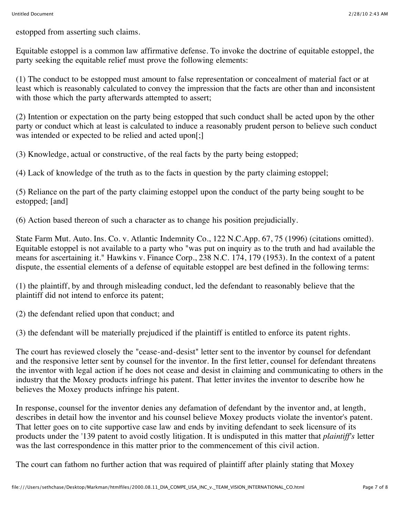estopped from asserting such claims.

Equitable estoppel is a common law affirmative defense. To invoke the doctrine of equitable estoppel, the party seeking the equitable relief must prove the following elements:

(1) The conduct to be estopped must amount to false representation or concealment of material fact or at least which is reasonably calculated to convey the impression that the facts are other than and inconsistent with those which the party afterwards attempted to assert;

(2) Intention or expectation on the party being estopped that such conduct shall be acted upon by the other party or conduct which at least is calculated to induce a reasonably prudent person to believe such conduct was intended or expected to be relied and acted upon[;]

(3) Knowledge, actual or constructive, of the real facts by the party being estopped;

(4) Lack of knowledge of the truth as to the facts in question by the party claiming estoppel;

(5) Reliance on the part of the party claiming estoppel upon the conduct of the party being sought to be estopped; [and]

(6) Action based thereon of such a character as to change his position prejudicially.

State Farm Mut. Auto. Ins. Co. v. Atlantic Indemnity Co., 122 N.C.App. 67, 75 (1996) (citations omitted). Equitable estoppel is not available to a party who "was put on inquiry as to the truth and had available the means for ascertaining it." Hawkins v. Finance Corp., 238 N.C. 174, 179 (1953). In the context of a patent dispute, the essential elements of a defense of equitable estoppel are best defined in the following terms:

(1) the plaintiff, by and through misleading conduct, led the defendant to reasonably believe that the plaintiff did not intend to enforce its patent;

(2) the defendant relied upon that conduct; and

(3) the defendant will be materially prejudiced if the plaintiff is entitled to enforce its patent rights.

The court has reviewed closely the "cease-and-desist" letter sent to the inventor by counsel for defendant and the responsive letter sent by counsel for the inventor. In the first letter, counsel for defendant threatens the inventor with legal action if he does not cease and desist in claiming and communicating to others in the industry that the Moxey products infringe his patent. That letter invites the inventor to describe how he believes the Moxey products infringe his patent.

In response, counsel for the inventor denies any defamation of defendant by the inventor and, at length, describes in detail how the inventor and his counsel believe Moxey products violate the inventor's patent. That letter goes on to cite supportive case law and ends by inviting defendant to seek licensure of its products under the '139 patent to avoid costly litigation. It is undisputed in this matter that *plaintiff's* letter was the last correspondence in this matter prior to the commencement of this civil action.

The court can fathom no further action that was required of plaintiff after plainly stating that Moxey